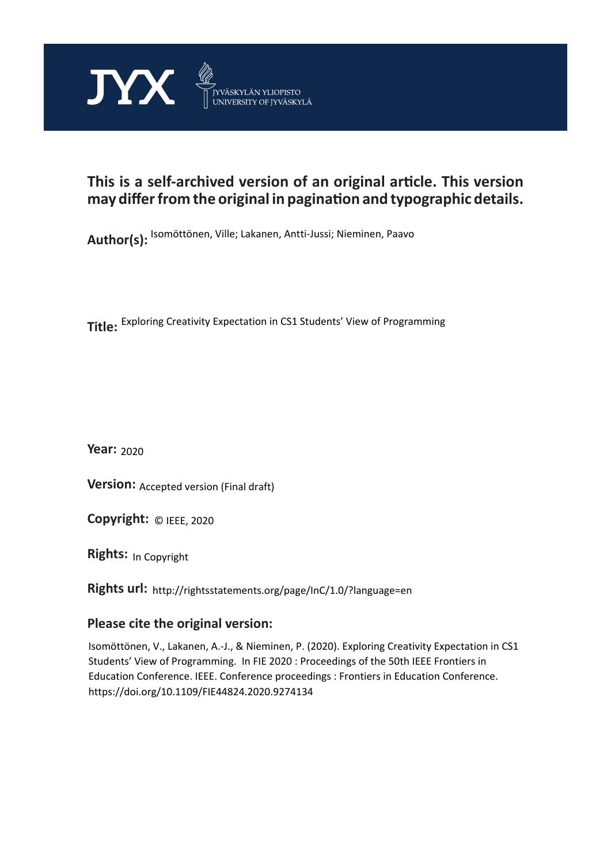

## **This is a self-archived version of an original article. This version may differ from the original in pagination and typographic details.**

**Author(s):**  Isomöttönen, Ville; Lakanen, Antti-Jussi; Nieminen, Paavo

**Title:**  Exploring Creativity Expectation in CS1 Students' View of Programming

**Year:**  2020

**Version:** Accepted version (Final draft)<br>**Copyright:** © IEEE, 2020

**Copyright:**

**Rights:** In Copyright

**Rights url:**  http://rightsstatements.org/page/InC/1.0/?language=en

### **Please cite the original version:**

Isomöttönen, V., Lakanen, A.-J., & Nieminen, P. (2020). Exploring Creativity Expectation in CS1 Students' View of Programming. In FIE 2020 : Proceedings of the 50th IEEE Frontiers in Education Conference. IEEE. Conference proceedings : Frontiers in Education Conference. https://doi.org/10.1109/FIE44824.2020.9274134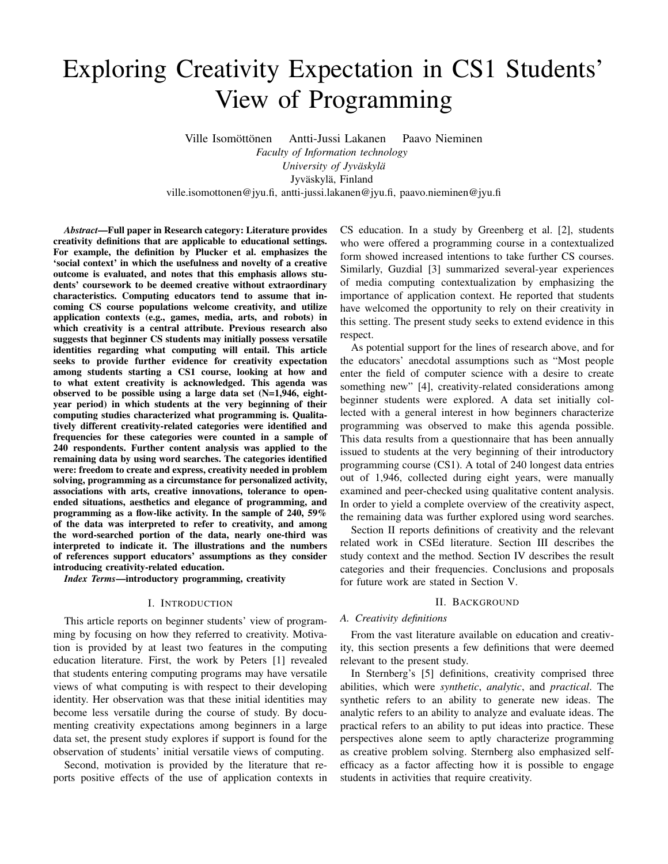# Exploring Creativity Expectation in CS1 Students' View of Programming

Ville Isomöttönen Antti-Jussi Lakanen Paavo Nieminen *Faculty of Information technology University of Jyväskylä* Jyväskylä, Finland ville.isomottonen@jyu.fi, antti-jussi.lakanen@jyu.fi, paavo.nieminen@jyu.fi

*Abstract*—Full paper in Research category: Literature provides creativity definitions that are applicable to educational settings. For example, the definition by Plucker et al. emphasizes the 'social context' in which the usefulness and novelty of a creative outcome is evaluated, and notes that this emphasis allows students' coursework to be deemed creative without extraordinary characteristics. Computing educators tend to assume that incoming CS course populations welcome creativity, and utilize application contexts (e.g., games, media, arts, and robots) in which creativity is a central attribute. Previous research also suggests that beginner CS students may initially possess versatile identities regarding what computing will entail. This article seeks to provide further evidence for creativity expectation among students starting a CS1 course, looking at how and to what extent creativity is acknowledged. This agenda was observed to be possible using a large data set (N=1,946, eightyear period) in which students at the very beginning of their computing studies characterized what programming is. Qualitatively different creativity-related categories were identified and frequencies for these categories were counted in a sample of 240 respondents. Further content analysis was applied to the remaining data by using word searches. The categories identified were: freedom to create and express, creativity needed in problem solving, programming as a circumstance for personalized activity, associations with arts, creative innovations, tolerance to openended situations, aesthetics and elegance of programming, and programming as a flow-like activity. In the sample of 240, 59% of the data was interpreted to refer to creativity, and among the word-searched portion of the data, nearly one-third was interpreted to indicate it. The illustrations and the numbers of references support educators' assumptions as they consider introducing creativity-related education.

*Index Terms*—introductory programming, creativity

#### I. INTRODUCTION

This article reports on beginner students' view of programming by focusing on how they referred to creativity. Motivation is provided by at least two features in the computing education literature. First, the work by Peters [1] revealed that students entering computing programs may have versatile views of what computing is with respect to their developing identity. Her observation was that these initial identities may become less versatile during the course of study. By documenting creativity expectations among beginners in a large data set, the present study explores if support is found for the observation of students' initial versatile views of computing.

Second, motivation is provided by the literature that reports positive effects of the use of application contexts in CS education. In a study by Greenberg et al. [2], students who were offered a programming course in a contextualized form showed increased intentions to take further CS courses. Similarly, Guzdial [3] summarized several-year experiences of media computing contextualization by emphasizing the importance of application context. He reported that students have welcomed the opportunity to rely on their creativity in this setting. The present study seeks to extend evidence in this respect.

As potential support for the lines of research above, and for the educators' anecdotal assumptions such as "Most people enter the field of computer science with a desire to create something new" [4], creativity-related considerations among beginner students were explored. A data set initially collected with a general interest in how beginners characterize programming was observed to make this agenda possible. This data results from a questionnaire that has been annually issued to students at the very beginning of their introductory programming course (CS1). A total of 240 longest data entries out of 1,946, collected during eight years, were manually examined and peer-checked using qualitative content analysis. In order to yield a complete overview of the creativity aspect, the remaining data was further explored using word searches.

Section II reports definitions of creativity and the relevant related work in CSEd literature. Section III describes the study context and the method. Section IV describes the result categories and their frequencies. Conclusions and proposals for future work are stated in Section V.

#### II. BACKGROUND

#### *A. Creativity definitions*

From the vast literature available on education and creativity, this section presents a few definitions that were deemed relevant to the present study.

In Sternberg's [5] definitions, creativity comprised three abilities, which were *synthetic*, *analytic*, and *practical*. The synthetic refers to an ability to generate new ideas. The analytic refers to an ability to analyze and evaluate ideas. The practical refers to an ability to put ideas into practice. These perspectives alone seem to aptly characterize programming as creative problem solving. Sternberg also emphasized selfefficacy as a factor affecting how it is possible to engage students in activities that require creativity.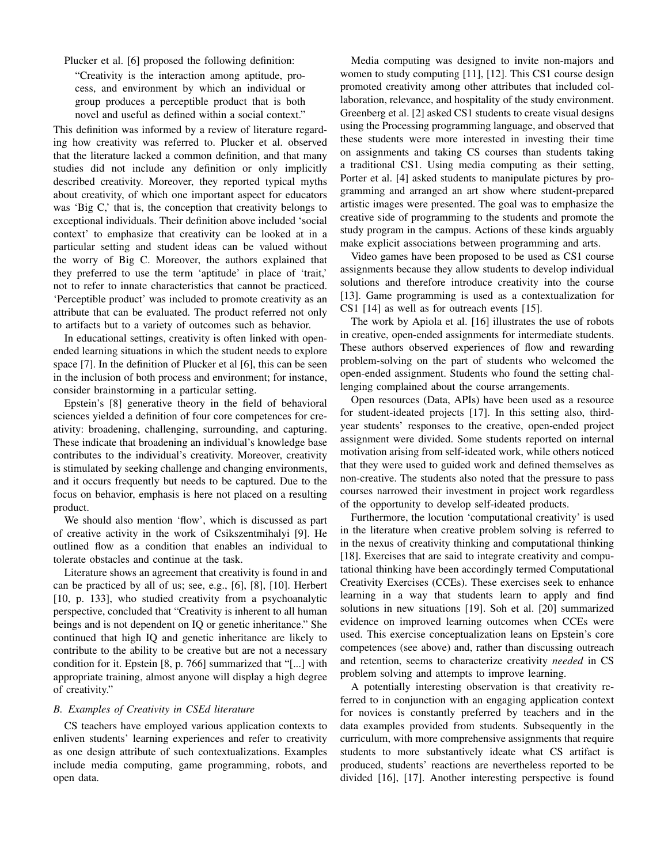Plucker et al. [6] proposed the following definition:

"Creativity is the interaction among aptitude, process, and environment by which an individual or group produces a perceptible product that is both novel and useful as defined within a social context."

This definition was informed by a review of literature regarding how creativity was referred to. Plucker et al. observed that the literature lacked a common definition, and that many studies did not include any definition or only implicitly described creativity. Moreover, they reported typical myths about creativity, of which one important aspect for educators was 'Big C,' that is, the conception that creativity belongs to exceptional individuals. Their definition above included 'social context' to emphasize that creativity can be looked at in a particular setting and student ideas can be valued without the worry of Big C. Moreover, the authors explained that they preferred to use the term 'aptitude' in place of 'trait,' not to refer to innate characteristics that cannot be practiced. 'Perceptible product' was included to promote creativity as an attribute that can be evaluated. The product referred not only to artifacts but to a variety of outcomes such as behavior.

In educational settings, creativity is often linked with openended learning situations in which the student needs to explore space [7]. In the definition of Plucker et al [6], this can be seen in the inclusion of both process and environment; for instance, consider brainstorming in a particular setting.

Epstein's [8] generative theory in the field of behavioral sciences yielded a definition of four core competences for creativity: broadening, challenging, surrounding, and capturing. These indicate that broadening an individual's knowledge base contributes to the individual's creativity. Moreover, creativity is stimulated by seeking challenge and changing environments, and it occurs frequently but needs to be captured. Due to the focus on behavior, emphasis is here not placed on a resulting product.

We should also mention 'flow', which is discussed as part of creative activity in the work of Csikszentmihalyi [9]. He outlined flow as a condition that enables an individual to tolerate obstacles and continue at the task.

Literature shows an agreement that creativity is found in and can be practiced by all of us; see, e.g., [6], [8], [10]. Herbert [10, p. 133], who studied creativity from a psychoanalytic perspective, concluded that "Creativity is inherent to all human beings and is not dependent on IQ or genetic inheritance." She continued that high IQ and genetic inheritance are likely to contribute to the ability to be creative but are not a necessary condition for it. Epstein [8, p. 766] summarized that "[...] with appropriate training, almost anyone will display a high degree of creativity."

#### *B. Examples of Creativity in CSEd literature*

CS teachers have employed various application contexts to enliven students' learning experiences and refer to creativity as one design attribute of such contextualizations. Examples include media computing, game programming, robots, and open data.

Media computing was designed to invite non-majors and women to study computing [11], [12]. This CS1 course design promoted creativity among other attributes that included collaboration, relevance, and hospitality of the study environment. Greenberg et al. [2] asked CS1 students to create visual designs using the Processing programming language, and observed that these students were more interested in investing their time on assignments and taking CS courses than students taking a traditional CS1. Using media computing as their setting, Porter et al. [4] asked students to manipulate pictures by programming and arranged an art show where student-prepared artistic images were presented. The goal was to emphasize the creative side of programming to the students and promote the study program in the campus. Actions of these kinds arguably make explicit associations between programming and arts.

Video games have been proposed to be used as CS1 course assignments because they allow students to develop individual solutions and therefore introduce creativity into the course [13]. Game programming is used as a contextualization for CS1 [14] as well as for outreach events [15].

The work by Apiola et al. [16] illustrates the use of robots in creative, open-ended assignments for intermediate students. These authors observed experiences of flow and rewarding problem-solving on the part of students who welcomed the open-ended assignment. Students who found the setting challenging complained about the course arrangements.

Open resources (Data, APIs) have been used as a resource for student-ideated projects [17]. In this setting also, thirdyear students' responses to the creative, open-ended project assignment were divided. Some students reported on internal motivation arising from self-ideated work, while others noticed that they were used to guided work and defined themselves as non-creative. The students also noted that the pressure to pass courses narrowed their investment in project work regardless of the opportunity to develop self-ideated products.

Furthermore, the locution 'computational creativity' is used in the literature when creative problem solving is referred to in the nexus of creativity thinking and computational thinking [18]. Exercises that are said to integrate creativity and computational thinking have been accordingly termed Computational Creativity Exercises (CCEs). These exercises seek to enhance learning in a way that students learn to apply and find solutions in new situations [19]. Soh et al. [20] summarized evidence on improved learning outcomes when CCEs were used. This exercise conceptualization leans on Epstein's core competences (see above) and, rather than discussing outreach and retention, seems to characterize creativity *needed* in CS problem solving and attempts to improve learning.

A potentially interesting observation is that creativity referred to in conjunction with an engaging application context for novices is constantly preferred by teachers and in the data examples provided from students. Subsequently in the curriculum, with more comprehensive assignments that require students to more substantively ideate what CS artifact is produced, students' reactions are nevertheless reported to be divided [16], [17]. Another interesting perspective is found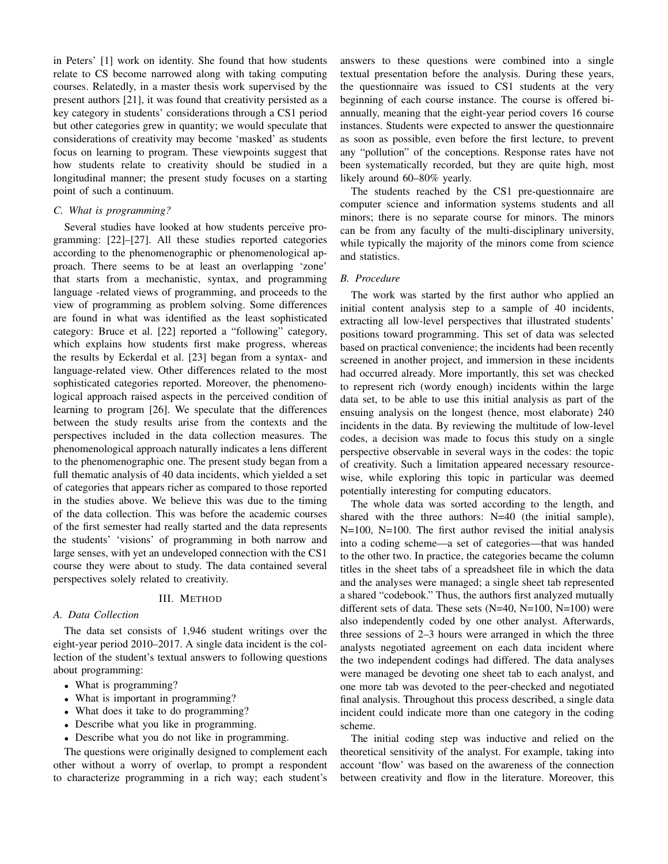in Peters' [1] work on identity. She found that how students relate to CS become narrowed along with taking computing courses. Relatedly, in a master thesis work supervised by the present authors [21], it was found that creativity persisted as a key category in students' considerations through a CS1 period but other categories grew in quantity; we would speculate that considerations of creativity may become 'masked' as students focus on learning to program. These viewpoints suggest that how students relate to creativity should be studied in a longitudinal manner; the present study focuses on a starting point of such a continuum.

#### *C. What is programming?*

Several studies have looked at how students perceive programming: [22]–[27]. All these studies reported categories according to the phenomenographic or phenomenological approach. There seems to be at least an overlapping 'zone' that starts from a mechanistic, syntax, and programming language -related views of programming, and proceeds to the view of programming as problem solving. Some differences are found in what was identified as the least sophisticated category: Bruce et al. [22] reported a "following" category, which explains how students first make progress, whereas the results by Eckerdal et al. [23] began from a syntax- and language-related view. Other differences related to the most sophisticated categories reported. Moreover, the phenomenological approach raised aspects in the perceived condition of learning to program [26]. We speculate that the differences between the study results arise from the contexts and the perspectives included in the data collection measures. The phenomenological approach naturally indicates a lens different to the phenomenographic one. The present study began from a full thematic analysis of 40 data incidents, which yielded a set of categories that appears richer as compared to those reported in the studies above. We believe this was due to the timing of the data collection. This was before the academic courses of the first semester had really started and the data represents the students' 'visions' of programming in both narrow and large senses, with yet an undeveloped connection with the CS1 course they were about to study. The data contained several perspectives solely related to creativity.

#### III. METHOD

#### *A. Data Collection*

The data set consists of 1,946 student writings over the eight-year period 2010–2017. A single data incident is the collection of the student's textual answers to following questions about programming:

- What is programming?
- What is important in programming?
- What does it take to do programming?
- Describe what you like in programming.
- Describe what you do not like in programming.

The questions were originally designed to complement each other without a worry of overlap, to prompt a respondent to characterize programming in a rich way; each student's answers to these questions were combined into a single textual presentation before the analysis. During these years, the questionnaire was issued to CS1 students at the very beginning of each course instance. The course is offered biannually, meaning that the eight-year period covers 16 course instances. Students were expected to answer the questionnaire as soon as possible, even before the first lecture, to prevent any "pollution" of the conceptions. Response rates have not been systematically recorded, but they are quite high, most likely around 60–80% yearly.

The students reached by the CS1 pre-questionnaire are computer science and information systems students and all minors; there is no separate course for minors. The minors can be from any faculty of the multi-disciplinary university, while typically the majority of the minors come from science and statistics.

#### *B. Procedure*

The work was started by the first author who applied an initial content analysis step to a sample of 40 incidents, extracting all low-level perspectives that illustrated students' positions toward programming. This set of data was selected based on practical convenience; the incidents had been recently screened in another project, and immersion in these incidents had occurred already. More importantly, this set was checked to represent rich (wordy enough) incidents within the large data set, to be able to use this initial analysis as part of the ensuing analysis on the longest (hence, most elaborate) 240 incidents in the data. By reviewing the multitude of low-level codes, a decision was made to focus this study on a single perspective observable in several ways in the codes: the topic of creativity. Such a limitation appeared necessary resourcewise, while exploring this topic in particular was deemed potentially interesting for computing educators.

The whole data was sorted according to the length, and shared with the three authors: N=40 (the initial sample), N=100, N=100. The first author revised the initial analysis into a coding scheme—a set of categories—that was handed to the other two. In practice, the categories became the column titles in the sheet tabs of a spreadsheet file in which the data and the analyses were managed; a single sheet tab represented a shared "codebook." Thus, the authors first analyzed mutually different sets of data. These sets  $(N=40, N=100, N=100)$  were also independently coded by one other analyst. Afterwards, three sessions of 2–3 hours were arranged in which the three analysts negotiated agreement on each data incident where the two independent codings had differed. The data analyses were managed be devoting one sheet tab to each analyst, and one more tab was devoted to the peer-checked and negotiated final analysis. Throughout this process described, a single data incident could indicate more than one category in the coding scheme.

The initial coding step was inductive and relied on the theoretical sensitivity of the analyst. For example, taking into account 'flow' was based on the awareness of the connection between creativity and flow in the literature. Moreover, this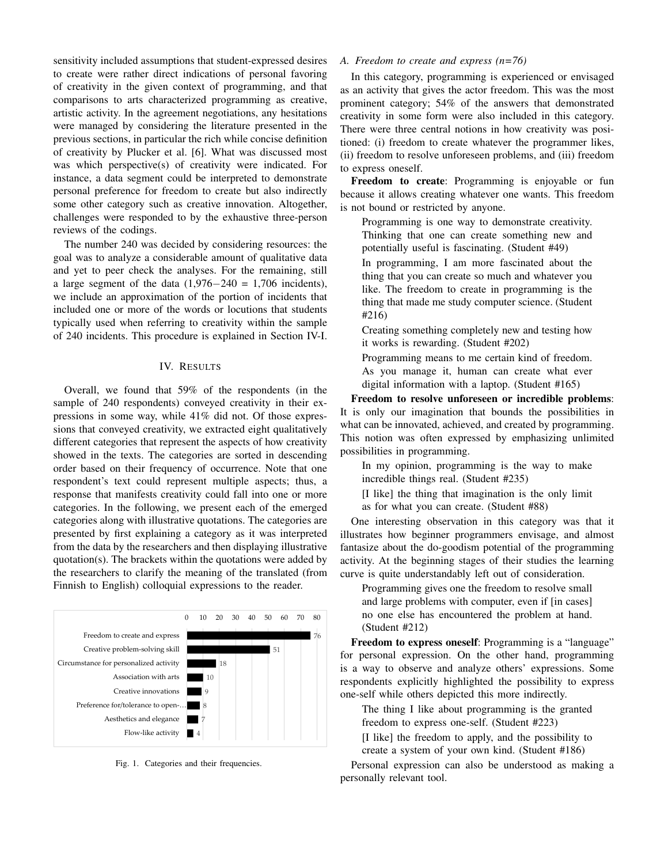sensitivity included assumptions that student-expressed desires to create were rather direct indications of personal favoring of creativity in the given context of programming, and that comparisons to arts characterized programming as creative, artistic activity. In the agreement negotiations, any hesitations were managed by considering the literature presented in the previous sections, in particular the rich while concise definition of creativity by Plucker et al. [6]. What was discussed most was which perspective(s) of creativity were indicated. For instance, a data segment could be interpreted to demonstrate personal preference for freedom to create but also indirectly some other category such as creative innovation. Altogether, challenges were responded to by the exhaustive three-person reviews of the codings.

The number 240 was decided by considering resources: the goal was to analyze a considerable amount of qualitative data and yet to peer check the analyses. For the remaining, still a large segment of the data  $(1,976-240) = 1,706$  incidents), we include an approximation of the portion of incidents that included one or more of the words or locutions that students typically used when referring to creativity within the sample of 240 incidents. This procedure is explained in Section IV-I.

#### IV. RESULTS

Overall, we found that 59% of the respondents (in the sample of 240 respondents) conveyed creativity in their expressions in some way, while 41% did not. Of those expressions that conveyed creativity, we extracted eight qualitatively different categories that represent the aspects of how creativity showed in the texts. The categories are sorted in descending order based on their frequency of occurrence. Note that one respondent's text could represent multiple aspects; thus, a response that manifests creativity could fall into one or more categories. In the following, we present each of the emerged categories along with illustrative quotations. The categories are presented by first explaining a category as it was interpreted from the data by the researchers and then displaying illustrative quotation(s). The brackets within the quotations were added by the researchers to clarify the meaning of the translated (from Finnish to English) colloquial expressions to the reader.



Fig. 1. Categories and their frequencies.

#### *A. Freedom to create and express (n=76)*

In this category, programming is experienced or envisaged as an activity that gives the actor freedom. This was the most prominent category; 54% of the answers that demonstrated creativity in some form were also included in this category. There were three central notions in how creativity was positioned: (i) freedom to create whatever the programmer likes, (ii) freedom to resolve unforeseen problems, and (iii) freedom to express oneself.

Freedom to create: Programming is enjoyable or fun because it allows creating whatever one wants. This freedom is not bound or restricted by anyone.

Programming is one way to demonstrate creativity. Thinking that one can create something new and potentially useful is fascinating. (Student #49)

In programming, I am more fascinated about the thing that you can create so much and whatever you like. The freedom to create in programming is the thing that made me study computer science. (Student #216)

Creating something completely new and testing how it works is rewarding. (Student #202)

Programming means to me certain kind of freedom. As you manage it, human can create what ever digital information with a laptop. (Student #165)

Freedom to resolve unforeseen or incredible problems: It is only our imagination that bounds the possibilities in what can be innovated, achieved, and created by programming. This notion was often expressed by emphasizing unlimited possibilities in programming.

In my opinion, programming is the way to make incredible things real. (Student #235)

[I like] the thing that imagination is the only limit as for what you can create. (Student #88)

One interesting observation in this category was that it illustrates how beginner programmers envisage, and almost fantasize about the do-goodism potential of the programming activity. At the beginning stages of their studies the learning curve is quite understandably left out of consideration.

Programming gives one the freedom to resolve small and large problems with computer, even if [in cases] no one else has encountered the problem at hand. (Student #212)

Freedom to express oneself: Programming is a "language" for personal expression. On the other hand, programming is a way to observe and analyze others' expressions. Some respondents explicitly highlighted the possibility to express one-self while others depicted this more indirectly.

The thing I like about programming is the granted freedom to express one-self. (Student #223)

[I like] the freedom to apply, and the possibility to create a system of your own kind. (Student #186)

Personal expression can also be understood as making a personally relevant tool.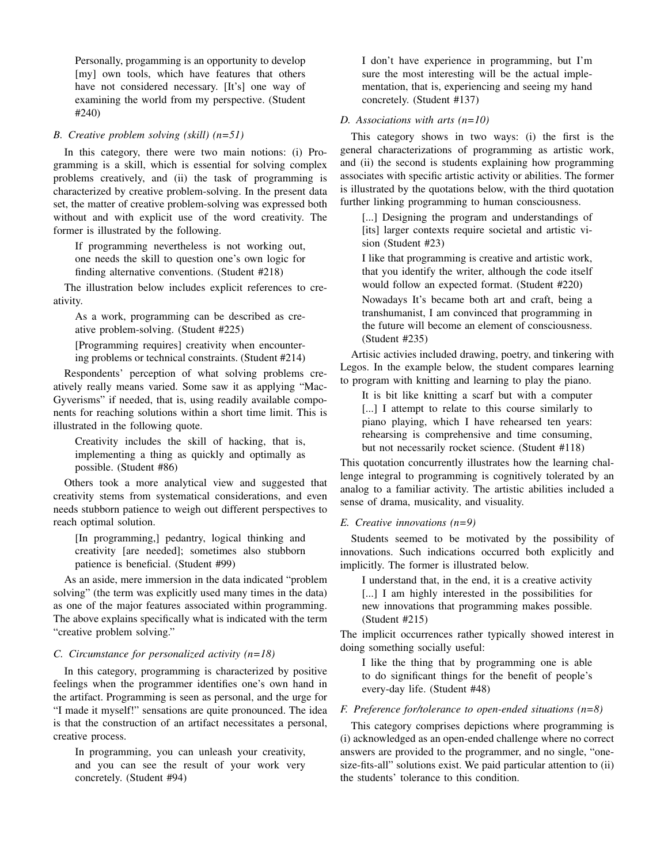Personally, progamming is an opportunity to develop [my] own tools, which have features that others have not considered necessary. [It's] one way of examining the world from my perspective. (Student #240)

#### *B. Creative problem solving (skill) (n=51)*

In this category, there were two main notions: (i) Programming is a skill, which is essential for solving complex problems creatively, and (ii) the task of programming is characterized by creative problem-solving. In the present data set, the matter of creative problem-solving was expressed both without and with explicit use of the word creativity. The former is illustrated by the following.

If programming nevertheless is not working out, one needs the skill to question one's own logic for finding alternative conventions. (Student #218)

The illustration below includes explicit references to creativity.

As a work, programming can be described as creative problem-solving. (Student #225)

[Programming requires] creativity when encountering problems or technical constraints. (Student #214)

Respondents' perception of what solving problems creatively really means varied. Some saw it as applying "Mac-Gyverisms" if needed, that is, using readily available components for reaching solutions within a short time limit. This is illustrated in the following quote.

Creativity includes the skill of hacking, that is, implementing a thing as quickly and optimally as possible. (Student #86)

Others took a more analytical view and suggested that creativity stems from systematical considerations, and even needs stubborn patience to weigh out different perspectives to reach optimal solution.

[In programming,] pedantry, logical thinking and creativity [are needed]; sometimes also stubborn patience is beneficial. (Student #99)

As an aside, mere immersion in the data indicated "problem solving" (the term was explicitly used many times in the data) as one of the major features associated within programming. The above explains specifically what is indicated with the term "creative problem solving."

#### *C. Circumstance for personalized activity (n=18)*

In this category, programming is characterized by positive feelings when the programmer identifies one's own hand in the artifact. Programming is seen as personal, and the urge for "I made it myself!" sensations are quite pronounced. The idea is that the construction of an artifact necessitates a personal, creative process.

In programming, you can unleash your creativity, and you can see the result of your work very concretely. (Student #94)

I don't have experience in programming, but I'm sure the most interesting will be the actual implementation, that is, experiencing and seeing my hand concretely. (Student #137)

#### *D. Associations with arts (n=10)*

This category shows in two ways: (i) the first is the general characterizations of programming as artistic work, and (ii) the second is students explaining how programming associates with specific artistic activity or abilities. The former is illustrated by the quotations below, with the third quotation further linking programming to human consciousness.

[...] Designing the program and understandings of [its] larger contexts require societal and artistic vision (Student #23)

I like that programming is creative and artistic work, that you identify the writer, although the code itself would follow an expected format. (Student #220)

Nowadays It's became both art and craft, being a transhumanist, I am convinced that programming in the future will become an element of consciousness. (Student #235)

Artisic activies included drawing, poetry, and tinkering with Legos. In the example below, the student compares learning to program with knitting and learning to play the piano.

It is bit like knitting a scarf but with a computer [...] I attempt to relate to this course similarly to piano playing, which I have rehearsed ten years: rehearsing is comprehensive and time consuming, but not necessarily rocket science. (Student #118)

This quotation concurrently illustrates how the learning challenge integral to programming is cognitively tolerated by an analog to a familiar activity. The artistic abilities included a sense of drama, musicality, and visuality.

#### *E. Creative innovations (n=9)*

Students seemed to be motivated by the possibility of innovations. Such indications occurred both explicitly and implicitly. The former is illustrated below.

I understand that, in the end, it is a creative activity [...] I am highly interested in the possibilities for new innovations that programming makes possible. (Student #215)

The implicit occurrences rather typically showed interest in doing something socially useful:

I like the thing that by programming one is able to do significant things for the benefit of people's every-day life. (Student #48)

#### *F. Preference for/tolerance to open-ended situations (n=8)*

This category comprises depictions where programming is (i) acknowledged as an open-ended challenge where no correct answers are provided to the programmer, and no single, "onesize-fits-all" solutions exist. We paid particular attention to (ii) the students' tolerance to this condition.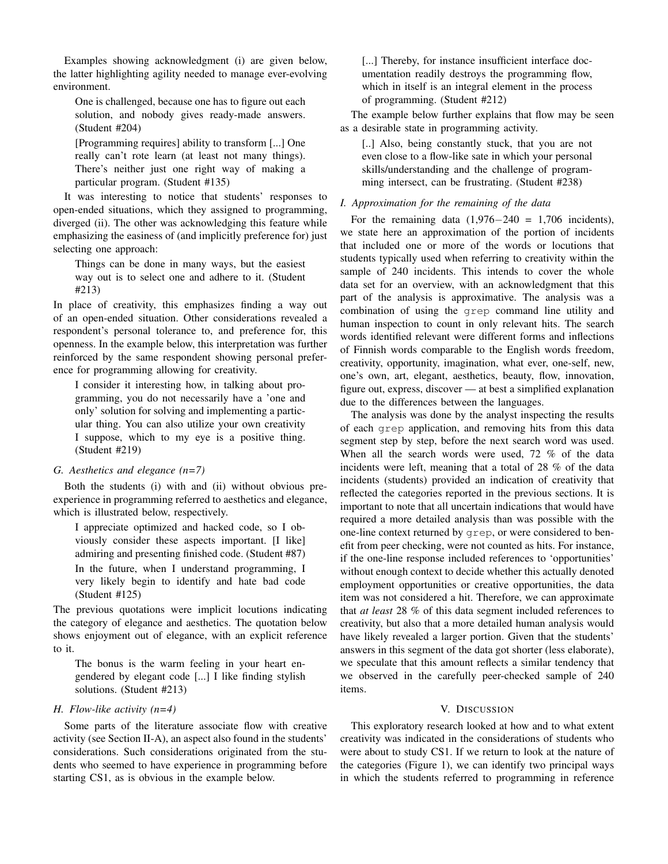Examples showing acknowledgment (i) are given below, the latter highlighting agility needed to manage ever-evolving environment.

One is challenged, because one has to figure out each solution, and nobody gives ready-made answers. (Student #204)

[Programming requires] ability to transform [...] One really can't rote learn (at least not many things). There's neither just one right way of making a particular program. (Student #135)

It was interesting to notice that students' responses to open-ended situations, which they assigned to programming, diverged (ii). The other was acknowledging this feature while emphasizing the easiness of (and implicitly preference for) just selecting one approach:

Things can be done in many ways, but the easiest way out is to select one and adhere to it. (Student #213)

In place of creativity, this emphasizes finding a way out of an open-ended situation. Other considerations revealed a respondent's personal tolerance to, and preference for, this openness. In the example below, this interpretation was further reinforced by the same respondent showing personal preference for programming allowing for creativity.

I consider it interesting how, in talking about programming, you do not necessarily have a 'one and only' solution for solving and implementing a particular thing. You can also utilize your own creativity I suppose, which to my eye is a positive thing. (Student #219)

#### *G. Aesthetics and elegance (n=7)*

Both the students (i) with and (ii) without obvious preexperience in programming referred to aesthetics and elegance, which is illustrated below, respectively.

I appreciate optimized and hacked code, so I obviously consider these aspects important. [I like] admiring and presenting finished code. (Student #87) In the future, when I understand programming, I very likely begin to identify and hate bad code (Student #125)

The previous quotations were implicit locutions indicating the category of elegance and aesthetics. The quotation below shows enjoyment out of elegance, with an explicit reference to it.

The bonus is the warm feeling in your heart engendered by elegant code [...] I like finding stylish solutions. (Student #213)

#### *H. Flow-like activity (n=4)*

Some parts of the literature associate flow with creative activity (see Section II-A), an aspect also found in the students' considerations. Such considerations originated from the students who seemed to have experience in programming before starting CS1, as is obvious in the example below.

[...] Thereby, for instance insufficient interface documentation readily destroys the programming flow, which in itself is an integral element in the process of programming. (Student #212)

The example below further explains that flow may be seen as a desirable state in programming activity.

[..] Also, being constantly stuck, that you are not even close to a flow-like sate in which your personal skills/understanding and the challenge of programming intersect, can be frustrating. (Student #238)

#### *I. Approximation for the remaining of the data*

For the remaining data  $(1,976-240) = 1,706$  incidents), we state here an approximation of the portion of incidents that included one or more of the words or locutions that students typically used when referring to creativity within the sample of 240 incidents. This intends to cover the whole data set for an overview, with an acknowledgment that this part of the analysis is approximative. The analysis was a combination of using the grep command line utility and human inspection to count in only relevant hits. The search words identified relevant were different forms and inflections of Finnish words comparable to the English words freedom, creativity, opportunity, imagination, what ever, one-self, new, one's own, art, elegant, aesthetics, beauty, flow, innovation, figure out, express, discover — at best a simplified explanation due to the differences between the languages.

The analysis was done by the analyst inspecting the results of each grep application, and removing hits from this data segment step by step, before the next search word was used. When all the search words were used, 72 % of the data incidents were left, meaning that a total of 28 % of the data incidents (students) provided an indication of creativity that reflected the categories reported in the previous sections. It is important to note that all uncertain indications that would have required a more detailed analysis than was possible with the one-line context returned by grep, or were considered to benefit from peer checking, were not counted as hits. For instance, if the one-line response included references to 'opportunities' without enough context to decide whether this actually denoted employment opportunities or creative opportunities, the data item was not considered a hit. Therefore, we can approximate that *at least* 28 % of this data segment included references to creativity, but also that a more detailed human analysis would have likely revealed a larger portion. Given that the students' answers in this segment of the data got shorter (less elaborate), we speculate that this amount reflects a similar tendency that we observed in the carefully peer-checked sample of 240 items.

#### V. DISCUSSION

This exploratory research looked at how and to what extent creativity was indicated in the considerations of students who were about to study CS1. If we return to look at the nature of the categories (Figure 1), we can identify two principal ways in which the students referred to programming in reference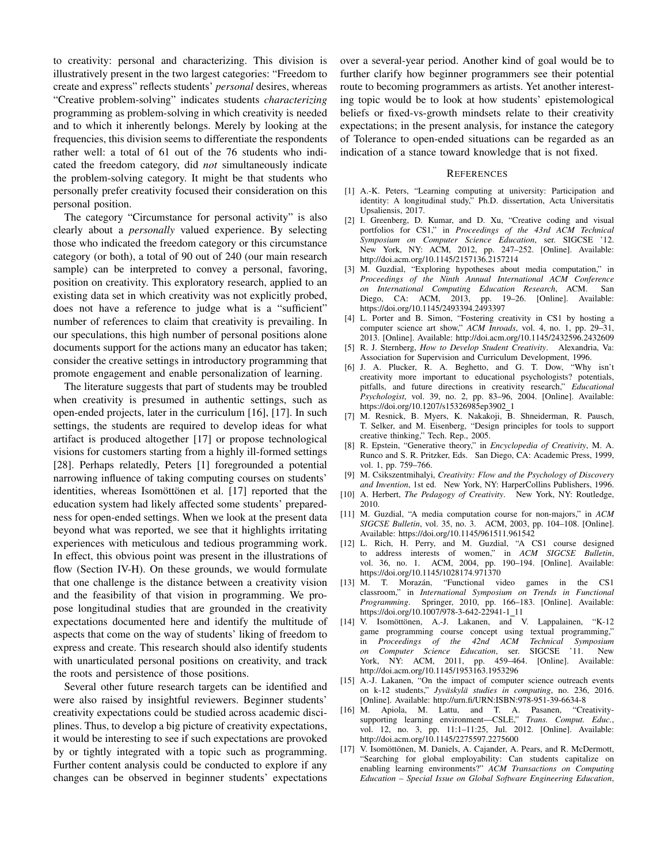to creativity: personal and characterizing. This division is illustratively present in the two largest categories: "Freedom to create and express" reflects students' *personal* desires, whereas "Creative problem-solving" indicates students *characterizing* programming as problem-solving in which creativity is needed and to which it inherently belongs. Merely by looking at the frequencies, this division seems to differentiate the respondents rather well: a total of 61 out of the 76 students who indicated the freedom category, did *not* simultaneously indicate the problem-solving category. It might be that students who personally prefer creativity focused their consideration on this personal position.

The category "Circumstance for personal activity" is also clearly about a *personally* valued experience. By selecting those who indicated the freedom category or this circumstance category (or both), a total of 90 out of 240 (our main research sample) can be interpreted to convey a personal, favoring, position on creativity. This exploratory research, applied to an existing data set in which creativity was not explicitly probed, does not have a reference to judge what is a "sufficient" number of references to claim that creativity is prevailing. In our speculations, this high number of personal positions alone documents support for the actions many an educator has taken; consider the creative settings in introductory programming that promote engagement and enable personalization of learning.

The literature suggests that part of students may be troubled when creativity is presumed in authentic settings, such as open-ended projects, later in the curriculum [16], [17]. In such settings, the students are required to develop ideas for what artifact is produced altogether [17] or propose technological visions for customers starting from a highly ill-formed settings [28]. Perhaps relatedly, Peters [1] foregrounded a potential narrowing influence of taking computing courses on students' identities, whereas Isomöttönen et al. [17] reported that the education system had likely affected some students' preparedness for open-ended settings. When we look at the present data beyond what was reported, we see that it highlights irritating experiences with meticulous and tedious programming work. In effect, this obvious point was present in the illustrations of flow (Section IV-H). On these grounds, we would formulate that one challenge is the distance between a creativity vision and the feasibility of that vision in programming. We propose longitudinal studies that are grounded in the creativity expectations documented here and identify the multitude of aspects that come on the way of students' liking of freedom to express and create. This research should also identify students with unarticulated personal positions on creativity, and track the roots and persistence of those positions.

Several other future research targets can be identified and were also raised by insightful reviewers. Beginner students' creativity expectations could be studied across academic disciplines. Thus, to develop a big picture of creativity expectations, it would be interesting to see if such expectations are provoked by or tightly integrated with a topic such as programming. Further content analysis could be conducted to explore if any changes can be observed in beginner students' expectations over a several-year period. Another kind of goal would be to further clarify how beginner programmers see their potential route to becoming programmers as artists. Yet another interesting topic would be to look at how students' epistemological beliefs or fixed-vs-growth mindsets relate to their creativity expectations; in the present analysis, for instance the category of Tolerance to open-ended situations can be regarded as an indication of a stance toward knowledge that is not fixed.

#### **REFERENCES**

- [1] A.-K. Peters, "Learning computing at university: Participation and identity: A longitudinal study," Ph.D. dissertation, Acta Universitatis Upsaliensis, 2017.
- [2] I. Greenberg, D. Kumar, and D. Xu, "Creative coding and visual portfolios for CS1," in *Proceedings of the 43rd ACM Technical Symposium on Computer Science Education*, ser. SIGCSE '12. New York, NY: ACM, 2012, pp. 247–252. [Online]. Available: http://doi.acm.org/10.1145/2157136.2157214
- [3] M. Guzdial, "Exploring hypotheses about media computation," in *Proceedings of the Ninth Annual International ACM Conference on International Computing Education Research*, ACM. San Diego, CA: ACM, 2013, pp. 19–26. [Online]. Available: https://doi.org/10.1145/2493394.2493397
- [4] L. Porter and B. Simon, "Fostering creativity in CS1 by hosting a computer science art show," *ACM Inroads*, vol. 4, no. 1, pp. 29–31, 2013. [Online]. Available: http://doi.acm.org/10.1145/2432596.2432609
- [5] R. J. Sternberg, *How to Develop Student Creativity*. Alexandria, Va: Association for Supervision and Curriculum Development, 1996.
- [6] J. A. Plucker, R. A. Beghetto, and G. T. Dow, "Why isn't creativity more important to educational psychologists? potentials, pitfalls, and future directions in creativity research," *Educational Psychologist*, vol. 39, no. 2, pp. 83–96, 2004. [Online]. Available: https://doi.org/10.1207/s15326985ep3902\_1
- [7] M. Resnick, B. Myers, K. Nakakoji, B. Shneiderman, R. Pausch, T. Selker, and M. Eisenberg, "Design principles for tools to support creative thinking," Tech. Rep., 2005.
- [8] R. Epstein, "Generative theory," in *Encyclopedia of Creativity*, M. A. Runco and S. R. Pritzker, Eds. San Diego, CA: Academic Press, 1999, vol. 1, pp. 759–766.
- [9] M. Csikszentmihalyi, *Creativity: Flow and the Psychology of Discovery and Invention*, 1st ed. New York, NY: HarperCollins Publishers, 1996.
- [10] A. Herbert, *The Pedagogy of Creativity*. New York, NY: Routledge, 2010.
- [11] M. Guzdial, "A media computation course for non-majors," in *ACM SIGCSE Bulletin*, vol. 35, no. 3. ACM, 2003, pp. 104–108. [Online]. Available: https://doi.org/10.1145/961511.961542
- [12] L. Rich, H. Perry, and M. Guzdial, "A CS1 course designed to address interests of women," in *ACM SIGCSE Bulletin*, vol. 36, no. 1. ACM, 2004, pp. 190–194. [Online]. Available: https://doi.org/10.1145/1028174.971370
- [13] M. T. Morazán, "Functional video games in the CS1 classroom," in *International Symposium on Trends in Functional Programming*. Springer, 2010, pp. 166–183. [Online]. Available: https://doi.org/10.1007/978-3-642-22941-1\_11
- [14] V. Isomöttönen, A.-J. Lakanen, and V. Lappalainen, "K-12 game programming course concept using textual programming," in *Proceedings of the 42nd ACM Technical Symposium on Computer Science Education*, ser. SIGCSE '11. New York, NY: ACM, 2011, pp. 459–464. [Online]. Available: http://doi.acm.org/10.1145/1953163.1953296
- [15] A.-J. Lakanen, "On the impact of computer science outreach events on k-12 students," *Jyväskylä studies in computing*, no. 236, 2016. [Online]. Available: http://urn.fi/URN:ISBN:978-951-39-6634-8<br>M. Apiola, M. Lattu, and T. A. Pasanen, "Creativity-
- $[16]$  M. Apiola, M. Lattu, and T. A. Pasanen, supporting learning environment—CSLE," *Trans. Comput. Educ.*, vol. 12, no. 3, pp. 11:1–11:25, Jul. 2012. [Online]. Available: http://doi.acm.org/10.1145/2275597.2275600
- [17] V. Isomöttönen, M. Daniels, A. Cajander, A. Pears, and R. McDermott, "Searching for global employability: Can students capitalize on enabling learning environments?" *ACM Transactions on Computing Education – Special Issue on Global Software Engineering Education*,